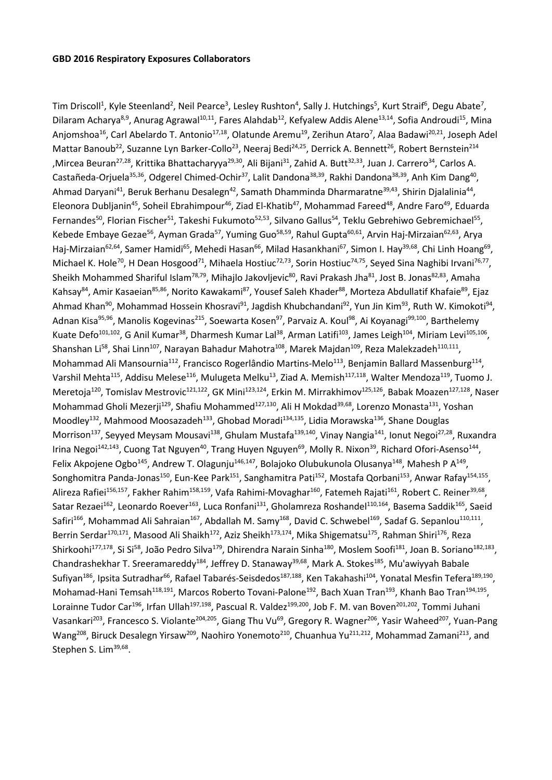Tim Driscoll<sup>1</sup>, Kyle Steenland<sup>2</sup>, Neil Pearce<sup>3</sup>, Lesley Rushton<sup>4</sup>, Sally J. Hutchings<sup>5</sup>, Kurt Straif<sup>6</sup>, Degu Abate<sup>7</sup>, Dilaram Acharya<sup>8,9</sup>, Anurag Agrawal<sup>10,11</sup>, Fares Alahdab<sup>12</sup>, Kefyalew Addis Alene<sup>13,14</sup>, Sofia Androudi<sup>15</sup>, Mina Anjomshoa<sup>16</sup>, Carl Abelardo T. Antonio<sup>17,18</sup>, Olatunde Aremu<sup>19</sup>, Zerihun Ataro<sup>7</sup>, Alaa Badawi<sup>20,21</sup>, Joseph Adel Mattar Banoub<sup>22</sup>, Suzanne Lyn Barker-Collo<sup>23</sup>, Neeraj Bedi<sup>24,25</sup>, Derrick A. Bennett<sup>26</sup>, Robert Bernstein<sup>214</sup> ,Mircea Beuran<sup>27,28</sup>, Krittika Bhattacharyya<sup>29,30</sup>, Ali Bijani<sup>31</sup>, Zahid A. Butt<sup>32,33</sup>, Juan J. Carrero<sup>34</sup>, Carlos A. Castañeda-Orjuela<sup>35,36</sup>, Odgerel Chimed-Ochir<sup>37</sup>, Lalit Dandona<sup>38,39</sup>, Rakhi Dandona<sup>38,39</sup>, Anh Kim Dang<sup>40</sup>, Ahmad Daryani<sup>41</sup>, Beruk Berhanu Desalegn<sup>42</sup>, Samath Dhamminda Dharmaratne<sup>39,43</sup>, Shirin Djalalinia<sup>44</sup>, Eleonora Dubljanin<sup>45</sup>, Soheil Ebrahimpour<sup>46</sup>, Ziad El-Khatib<sup>47</sup>, Mohammad Fareed<sup>48</sup>, Andre Faro<sup>49</sup>, Eduarda Fernandes<sup>50</sup>, Florian Fischer<sup>51</sup>, Takeshi Fukumoto<sup>52,53</sup>, Silvano Gallus<sup>54</sup>, Teklu Gebrehiwo Gebremichael<sup>55</sup>, Kebede Embaye Gezae<sup>56</sup>, Ayman Grada<sup>57</sup>, Yuming Guo<sup>58,59</sup>, Rahul Gupta<sup>60,61</sup>, Arvin Haj-Mirzaian<sup>62,63</sup>, Arya Haj-Mirzaian<sup>62,64</sup>, Samer Hamidi<sup>65</sup>, Mehedi Hasan<sup>66</sup>, Milad Hasankhani<sup>67</sup>, Simon I. Hay<sup>39,68</sup>, Chi Linh Hoang<sup>69</sup>, Michael K. Hole<sup>70</sup>, H Dean Hosgood<sup>71</sup>, Mihaela Hostiuc<sup>72,73</sup>, Sorin Hostiuc<sup>74,75</sup>, Seyed Sina Naghibi Irvani<sup>76,77</sup>, Sheikh Mohammed Shariful Islam<sup>78,79</sup>, Mihajlo Jakovljevic<sup>80</sup>, Ravi Prakash Jha<sup>81</sup>, Jost B. Jonas<sup>82,83</sup>, Amaha Kahsay<sup>84</sup>, Amir Kasaeian<sup>85,86</sup>, Norito Kawakami<sup>87</sup>, Yousef Saleh Khader<sup>88</sup>, Morteza Abdullatif Khafaie<sup>89</sup>, Ejaz Ahmad Khan<sup>90</sup>, Mohammad Hossein Khosravi<sup>91</sup>, Jagdish Khubchandani<sup>92</sup>, Yun Jin Kim<sup>93</sup>, Ruth W. Kimokoti<sup>94</sup>, Adnan Kisa<sup>95,96</sup>, Manolis Kogevinas<sup>215</sup>, Soewarta Kosen<sup>97</sup>, Parvaiz A. Koul<sup>98</sup>, Ai Koyanagi<sup>99,100</sup>, Barthelemy Kuate Defo<sup>101,102</sup>, G Anil Kumar<sup>38</sup>, Dharmesh Kumar Lal<sup>38</sup>, Arman Latifi<sup>103</sup>, James Leigh<sup>104</sup>, Miriam Levi<sup>105,106</sup>, Shanshan Li<sup>58</sup>, Shai Linn<sup>107</sup>, Narayan Bahadur Mahotra<sup>108</sup>, Marek Majdan<sup>109</sup>, Reza Malekzadeh<sup>110,111</sup>, Mohammad Ali Mansournia<sup>112</sup>, Francisco Rogerlândio Martins-Melo<sup>113</sup>, Benjamin Ballard Massenburg<sup>114</sup>, Varshil Mehta<sup>115</sup>, Addisu Melese<sup>116</sup>, Mulugeta Melku<sup>13</sup>, Ziad A. Memish<sup>117,118</sup>, Walter Mendoza<sup>119</sup>, Tuomo J. Meretoja<sup>120</sup>, Tomislav Mestrovic<sup>121,122</sup>, GK Mini<sup>123,124</sup>, Erkin M. Mirrakhimov<sup>125,126</sup>, Babak Moazen<sup>127,128</sup>, Naser Mohammad Gholi Mezerji<sup>129</sup>, Shafiu Mohammed<sup>127,130</sup>, Ali H Mokdad<sup>39,68</sup>, Lorenzo Monasta<sup>131</sup>, Yoshan Moodley<sup>132</sup>, Mahmood Moosazadeh<sup>133</sup>, Ghobad Moradi<sup>134,135</sup>, Lidia Morawska<sup>136</sup>, Shane Douglas Morrison<sup>137</sup>, Seyyed Meysam Mousavi<sup>138</sup>, Ghulam Mustafa<sup>139,140</sup>, Vinay Nangia<sup>141</sup>, Ionut Negoi<sup>27,28</sup>, Ruxandra Irina Negoi<sup>142,143</sup>, Cuong Tat Nguyen<sup>40</sup>, Trang Huyen Nguyen<sup>69</sup>, Molly R. Nixon<sup>39</sup>, Richard Ofori-Asenso<sup>144</sup>, Felix Akpojene Ogbo<sup>145</sup>, Andrew T. Olagunju<sup>146,147</sup>, Bolajoko Olubukunola Olusanya<sup>148</sup>, Mahesh P A<sup>149</sup>, Songhomitra Panda-Jonas<sup>150</sup>, Eun-Kee Park<sup>151</sup>, Sanghamitra Pati<sup>152</sup>, Mostafa Qorbani<sup>153</sup>, Anwar Rafay<sup>154,155</sup>, Alireza Rafiei<sup>156,157</sup>, Fakher Rahim<sup>158,159</sup>, Vafa Rahimi-Movaghar<sup>160</sup>, Fatemeh Rajati<sup>161</sup>, Robert C. Reiner<sup>39,68</sup>, Satar Rezaei<sup>162</sup>, Leonardo Roever<sup>163</sup>, Luca Ronfani<sup>131</sup>, Gholamreza Roshandel<sup>110,164</sup>, Basema Saddik<sup>165</sup>, Saeid Safiri<sup>166</sup>, Mohammad Ali Sahraian<sup>167</sup>, Abdallah M. Samy<sup>168</sup>, David C. Schwebel<sup>169</sup>, Sadaf G. Sepanlou<sup>110,111</sup>, Berrin Serdar<sup>170,171</sup>, Masood Ali Shaikh<sup>172</sup>, Aziz Sheikh<sup>173,174</sup>, Mika Shigematsu<sup>175</sup>, Rahman Shiri<sup>176</sup>, Reza Shirkoohi<sup>177,178</sup>, Si Si<sup>58</sup>, João Pedro Silva<sup>179</sup>, Dhirendra Narain Sinha<sup>180</sup>, Moslem Soofi<sup>181</sup>, Joan B. Soriano<sup>182,183</sup>, Chandrashekhar T. Sreeramareddy<sup>184</sup>, Jeffrey D. Stanaway<sup>39,68</sup>, Mark A. Stokes<sup>185</sup>, Mu'awiyyah Babale Sufiyan<sup>186</sup>, Ipsita Sutradhar<sup>66</sup>, Rafael Tabarés-Seisdedos<sup>187,188</sup>, Ken Takahashi<sup>104</sup>, Yonatal Mesfin Tefera<sup>189,190</sup>, Mohamad-Hani Temsah<sup>118,191</sup>, Marcos Roberto Tovani-Palone<sup>192</sup>, Bach Xuan Tran<sup>193</sup>, Khanh Bao Tran<sup>194,195</sup>, Lorainne Tudor Car<sup>196</sup>, Irfan Ullah<sup>197,198</sup>, Pascual R. Valdez<sup>199,200</sup>, Job F. M. van Boven<sup>201,202</sup>, Tommi Juhani Vasankari<sup>203</sup>, Francesco S. Violante<sup>204,205</sup>, Giang Thu Vu<sup>69</sup>, Gregory R. Wagner<sup>206</sup>, Yasir Waheed<sup>207</sup>, Yuan-Pang Wang<sup>208</sup>, Biruck Desalegn Yirsaw<sup>209</sup>, Naohiro Yonemoto<sup>210</sup>, Chuanhua Yu<sup>211,212</sup>, Mohammad Zamani<sup>213</sup>, and Stephen S. Lim<sup>39,68</sup>.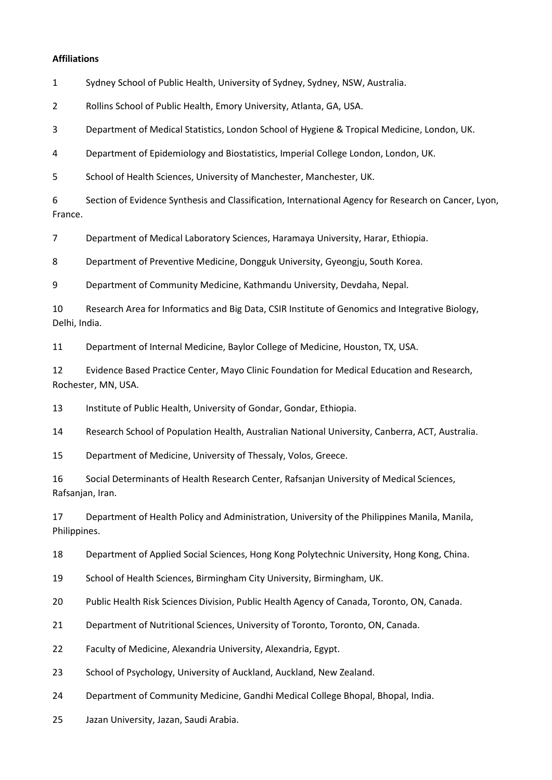## **Affiliations**

Sydney School of Public Health, University of Sydney, Sydney, NSW, Australia.

Rollins School of Public Health, Emory University, Atlanta, GA, USA.

Department of Medical Statistics, London School of Hygiene & Tropical Medicine, London, UK.

Department of Epidemiology and Biostatistics, Imperial College London, London, UK.

School of Health Sciences, University of Manchester, Manchester, UK.

 Section of Evidence Synthesis and Classification, International Agency for Research on Cancer, Lyon, France.

Department of Medical Laboratory Sciences, Haramaya University, Harar, Ethiopia.

Department of Preventive Medicine, Dongguk University, Gyeongju, South Korea.

Department of Community Medicine, Kathmandu University, Devdaha, Nepal.

 Research Area for Informatics and Big Data, CSIR Institute of Genomics and Integrative Biology, Delhi, India.

Department of Internal Medicine, Baylor College of Medicine, Houston, TX, USA.

 Evidence Based Practice Center, Mayo Clinic Foundation for Medical Education and Research, Rochester, MN, USA.

Institute of Public Health, University of Gondar, Gondar, Ethiopia.

Research School of Population Health, Australian National University, Canberra, ACT, Australia.

Department of Medicine, University of Thessaly, Volos, Greece.

 Social Determinants of Health Research Center, Rafsanjan University of Medical Sciences, Rafsanjan, Iran.

 Department of Health Policy and Administration, University of the Philippines Manila, Manila, Philippines.

Department of Applied Social Sciences, Hong Kong Polytechnic University, Hong Kong, China.

School of Health Sciences, Birmingham City University, Birmingham, UK.

Public Health Risk Sciences Division, Public Health Agency of Canada, Toronto, ON, Canada.

Department of Nutritional Sciences, University of Toronto, Toronto, ON, Canada.

Faculty of Medicine, Alexandria University, Alexandria, Egypt.

School of Psychology, University of Auckland, Auckland, New Zealand.

Department of Community Medicine, Gandhi Medical College Bhopal, Bhopal, India.

Jazan University, Jazan, Saudi Arabia.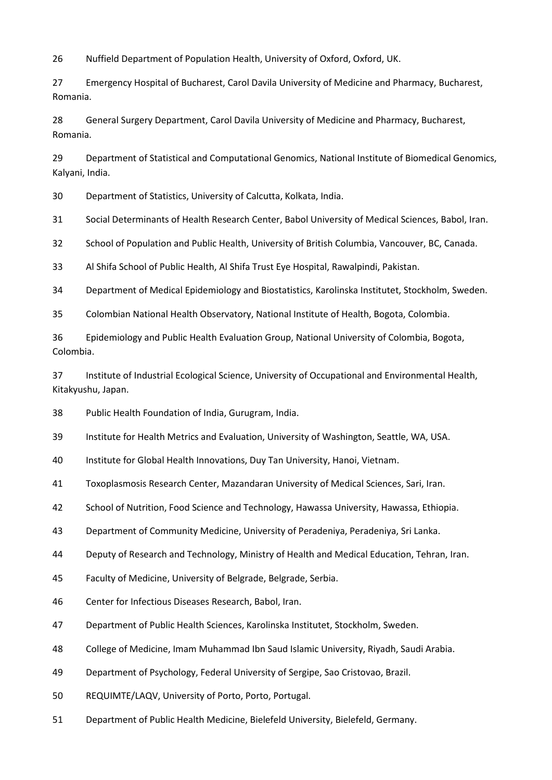Nuffield Department of Population Health, University of Oxford, Oxford, UK.

 Emergency Hospital of Bucharest, Carol Davila University of Medicine and Pharmacy, Bucharest, Romania.

 General Surgery Department, Carol Davila University of Medicine and Pharmacy, Bucharest, Romania.

 Department of Statistical and Computational Genomics, National Institute of Biomedical Genomics, Kalyani, India.

Department of Statistics, University of Calcutta, Kolkata, India.

Social Determinants of Health Research Center, Babol University of Medical Sciences, Babol, Iran.

School of Population and Public Health, University of British Columbia, Vancouver, BC, Canada.

Al Shifa School of Public Health, Al Shifa Trust Eye Hospital, Rawalpindi, Pakistan.

Department of Medical Epidemiology and Biostatistics, Karolinska Institutet, Stockholm, Sweden.

Colombian National Health Observatory, National Institute of Health, Bogota, Colombia.

 Epidemiology and Public Health Evaluation Group, National University of Colombia, Bogota, Colombia.

 Institute of Industrial Ecological Science, University of Occupational and Environmental Health, Kitakyushu, Japan.

Public Health Foundation of India, Gurugram, India.

Institute for Health Metrics and Evaluation, University of Washington, Seattle, WA, USA.

Institute for Global Health Innovations, Duy Tan University, Hanoi, Vietnam.

Toxoplasmosis Research Center, Mazandaran University of Medical Sciences, Sari, Iran.

School of Nutrition, Food Science and Technology, Hawassa University, Hawassa, Ethiopia.

Department of Community Medicine, University of Peradeniya, Peradeniya, Sri Lanka.

44 Deputy of Research and Technology, Ministry of Health and Medical Education, Tehran, Iran.

Faculty of Medicine, University of Belgrade, Belgrade, Serbia.

Center for Infectious Diseases Research, Babol, Iran.

Department of Public Health Sciences, Karolinska Institutet, Stockholm, Sweden.

College of Medicine, Imam Muhammad Ibn Saud Islamic University, Riyadh, Saudi Arabia.

Department of Psychology, Federal University of Sergipe, Sao Cristovao, Brazil.

REQUIMTE/LAQV, University of Porto, Porto, Portugal.

Department of Public Health Medicine, Bielefeld University, Bielefeld, Germany.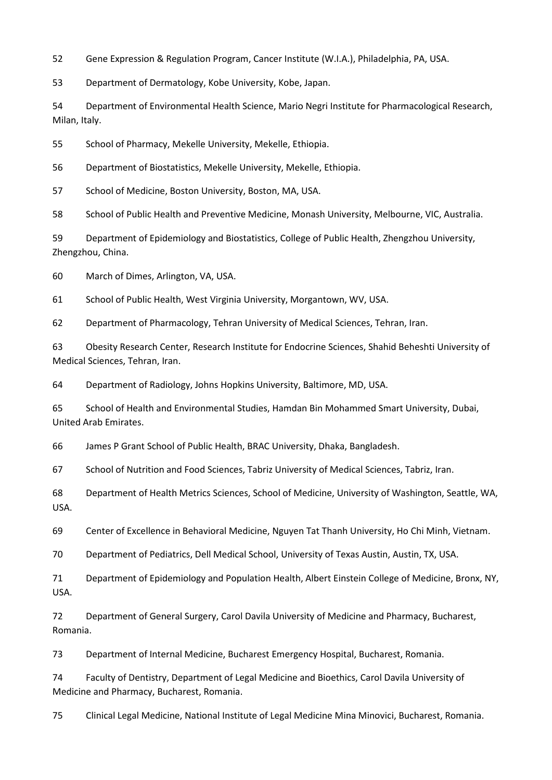Gene Expression & Regulation Program, Cancer Institute (W.I.A.), Philadelphia, PA, USA.

Department of Dermatology, Kobe University, Kobe, Japan.

 Department of Environmental Health Science, Mario Negri Institute for Pharmacological Research, Milan, Italy.

School of Pharmacy, Mekelle University, Mekelle, Ethiopia.

Department of Biostatistics, Mekelle University, Mekelle, Ethiopia.

School of Medicine, Boston University, Boston, MA, USA.

School of Public Health and Preventive Medicine, Monash University, Melbourne, VIC, Australia.

 Department of Epidemiology and Biostatistics, College of Public Health, Zhengzhou University, Zhengzhou, China.

March of Dimes, Arlington, VA, USA.

School of Public Health, West Virginia University, Morgantown, WV, USA.

Department of Pharmacology, Tehran University of Medical Sciences, Tehran, Iran.

 Obesity Research Center, Research Institute for Endocrine Sciences, Shahid Beheshti University of Medical Sciences, Tehran, Iran.

Department of Radiology, Johns Hopkins University, Baltimore, MD, USA.

 School of Health and Environmental Studies, Hamdan Bin Mohammed Smart University, Dubai, United Arab Emirates.

James P Grant School of Public Health, BRAC University, Dhaka, Bangladesh.

School of Nutrition and Food Sciences, Tabriz University of Medical Sciences, Tabriz, Iran.

 Department of Health Metrics Sciences, School of Medicine, University of Washington, Seattle, WA, USA.

Center of Excellence in Behavioral Medicine, Nguyen Tat Thanh University, Ho Chi Minh, Vietnam.

Department of Pediatrics, Dell Medical School, University of Texas Austin, Austin, TX, USA.

 Department of Epidemiology and Population Health, Albert Einstein College of Medicine, Bronx, NY, USA.

 Department of General Surgery, Carol Davila University of Medicine and Pharmacy, Bucharest, Romania.

Department of Internal Medicine, Bucharest Emergency Hospital, Bucharest, Romania.

 Faculty of Dentistry, Department of Legal Medicine and Bioethics, Carol Davila University of Medicine and Pharmacy, Bucharest, Romania.

Clinical Legal Medicine, National Institute of Legal Medicine Mina Minovici, Bucharest, Romania.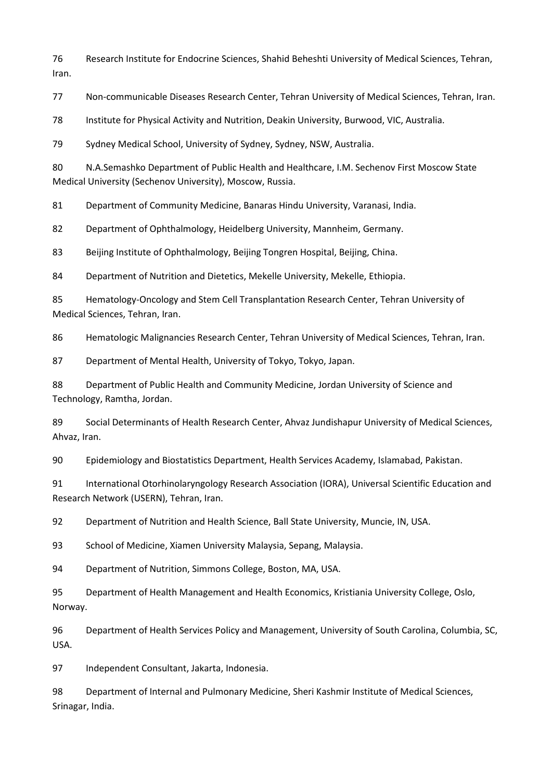Research Institute for Endocrine Sciences, Shahid Beheshti University of Medical Sciences, Tehran, Iran.

Non-communicable Diseases Research Center, Tehran University of Medical Sciences, Tehran, Iran.

Institute for Physical Activity and Nutrition, Deakin University, Burwood, VIC, Australia.

Sydney Medical School, University of Sydney, Sydney, NSW, Australia.

 N.A.Semashko Department of Public Health and Healthcare, I.M. Sechenov First Moscow State Medical University (Sechenov University), Moscow, Russia.

Department of Community Medicine, Banaras Hindu University, Varanasi, India.

Department of Ophthalmology, Heidelberg University, Mannheim, Germany.

Beijing Institute of Ophthalmology, Beijing Tongren Hospital, Beijing, China.

Department of Nutrition and Dietetics, Mekelle University, Mekelle, Ethiopia.

 Hematology-Oncology and Stem Cell Transplantation Research Center, Tehran University of Medical Sciences, Tehran, Iran.

Hematologic Malignancies Research Center, Tehran University of Medical Sciences, Tehran, Iran.

Department of Mental Health, University of Tokyo, Tokyo, Japan.

 Department of Public Health and Community Medicine, Jordan University of Science and Technology, Ramtha, Jordan.

 Social Determinants of Health Research Center, Ahvaz Jundishapur University of Medical Sciences, Ahvaz, Iran.

Epidemiology and Biostatistics Department, Health Services Academy, Islamabad, Pakistan.

 International Otorhinolaryngology Research Association (IORA), Universal Scientific Education and Research Network (USERN), Tehran, Iran.

Department of Nutrition and Health Science, Ball State University, Muncie, IN, USA.

School of Medicine, Xiamen University Malaysia, Sepang, Malaysia.

Department of Nutrition, Simmons College, Boston, MA, USA.

 Department of Health Management and Health Economics, Kristiania University College, Oslo, Norway.

 Department of Health Services Policy and Management, University of South Carolina, Columbia, SC, USA.

Independent Consultant, Jakarta, Indonesia.

 Department of Internal and Pulmonary Medicine, Sheri Kashmir Institute of Medical Sciences, Srinagar, India.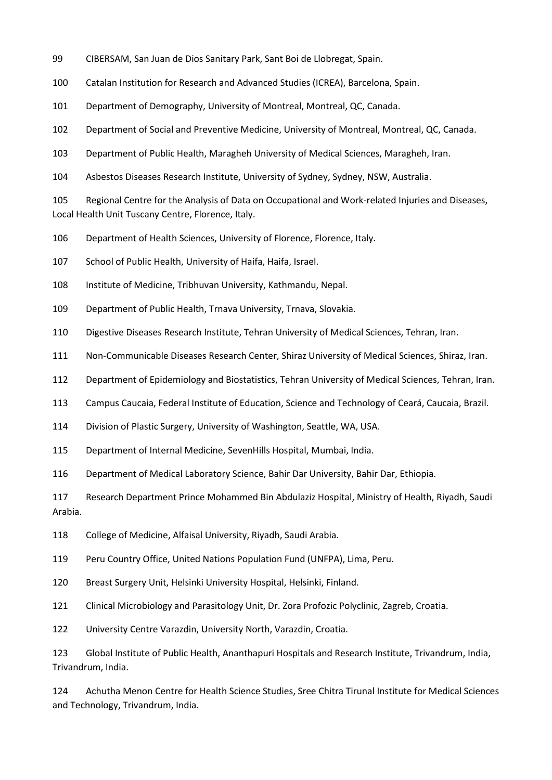- CIBERSAM, San Juan de Dios Sanitary Park, Sant Boi de Llobregat, Spain.
- Catalan Institution for Research and Advanced Studies (ICREA), Barcelona, Spain.
- Department of Demography, University of Montreal, Montreal, QC, Canada.

Department of Social and Preventive Medicine, University of Montreal, Montreal, QC, Canada.

Department of Public Health, Maragheh University of Medical Sciences, Maragheh, Iran.

Asbestos Diseases Research Institute, University of Sydney, Sydney, NSW, Australia.

 Regional Centre for the Analysis of Data on Occupational and Work-related Injuries and Diseases, Local Health Unit Tuscany Centre, Florence, Italy.

Department of Health Sciences, University of Florence, Florence, Italy.

School of Public Health, University of Haifa, Haifa, Israel.

108 Institute of Medicine, Tribhuvan University, Kathmandu, Nepal.

Department of Public Health, Trnava University, Trnava, Slovakia.

Digestive Diseases Research Institute, Tehran University of Medical Sciences, Tehran, Iran.

Non-Communicable Diseases Research Center, Shiraz University of Medical Sciences, Shiraz, Iran.

Department of Epidemiology and Biostatistics, Tehran University of Medical Sciences, Tehran, Iran.

Campus Caucaia, Federal Institute of Education, Science and Technology of Ceará, Caucaia, Brazil.

Division of Plastic Surgery, University of Washington, Seattle, WA, USA.

Department of Internal Medicine, SevenHills Hospital, Mumbai, India.

Department of Medical Laboratory Science, Bahir Dar University, Bahir Dar, Ethiopia.

 Research Department Prince Mohammed Bin Abdulaziz Hospital, Ministry of Health, Riyadh, Saudi Arabia.

College of Medicine, Alfaisal University, Riyadh, Saudi Arabia.

Peru Country Office, United Nations Population Fund (UNFPA), Lima, Peru.

Breast Surgery Unit, Helsinki University Hospital, Helsinki, Finland.

Clinical Microbiology and Parasitology Unit, Dr. Zora Profozic Polyclinic, Zagreb, Croatia.

University Centre Varazdin, University North, Varazdin, Croatia.

 Global Institute of Public Health, Ananthapuri Hospitals and Research Institute, Trivandrum, India, Trivandrum, India.

 Achutha Menon Centre for Health Science Studies, Sree Chitra Tirunal Institute for Medical Sciences and Technology, Trivandrum, India.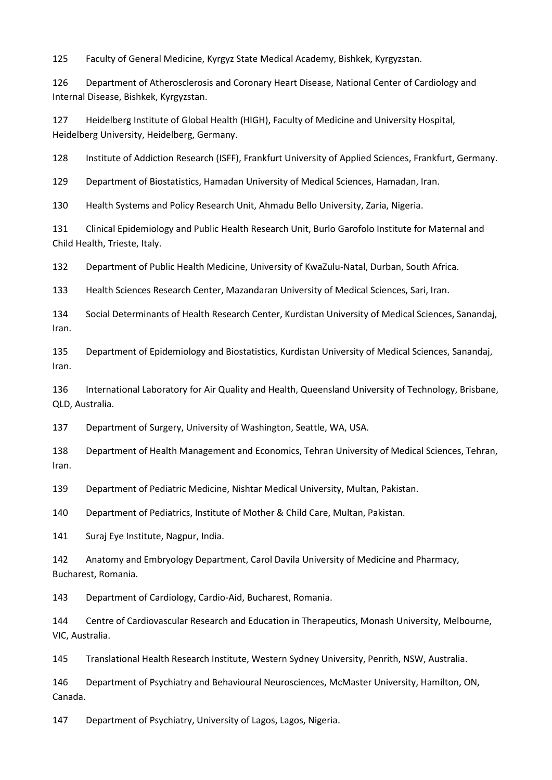Faculty of General Medicine, Kyrgyz State Medical Academy, Bishkek, Kyrgyzstan.

 Department of Atherosclerosis and Coronary Heart Disease, National Center of Cardiology and Internal Disease, Bishkek, Kyrgyzstan.

 Heidelberg Institute of Global Health (HIGH), Faculty of Medicine and University Hospital, Heidelberg University, Heidelberg, Germany.

Institute of Addiction Research (ISFF), Frankfurt University of Applied Sciences, Frankfurt, Germany.

Department of Biostatistics, Hamadan University of Medical Sciences, Hamadan, Iran.

Health Systems and Policy Research Unit, Ahmadu Bello University, Zaria, Nigeria.

 Clinical Epidemiology and Public Health Research Unit, Burlo Garofolo Institute for Maternal and Child Health, Trieste, Italy.

Department of Public Health Medicine, University of KwaZulu-Natal, Durban, South Africa.

Health Sciences Research Center, Mazandaran University of Medical Sciences, Sari, Iran.

 Social Determinants of Health Research Center, Kurdistan University of Medical Sciences, Sanandaj, Iran.

 Department of Epidemiology and Biostatistics, Kurdistan University of Medical Sciences, Sanandaj, Iran.

 International Laboratory for Air Quality and Health, Queensland University of Technology, Brisbane, QLD, Australia.

Department of Surgery, University of Washington, Seattle, WA, USA.

 Department of Health Management and Economics, Tehran University of Medical Sciences, Tehran, Iran.

Department of Pediatric Medicine, Nishtar Medical University, Multan, Pakistan.

Department of Pediatrics, Institute of Mother & Child Care, Multan, Pakistan.

Suraj Eye Institute, Nagpur, India.

 Anatomy and Embryology Department, Carol Davila University of Medicine and Pharmacy, Bucharest, Romania.

Department of Cardiology, Cardio-Aid, Bucharest, Romania.

 Centre of Cardiovascular Research and Education in Therapeutics, Monash University, Melbourne, VIC, Australia.

Translational Health Research Institute, Western Sydney University, Penrith, NSW, Australia.

 Department of Psychiatry and Behavioural Neurosciences, McMaster University, Hamilton, ON, Canada.

Department of Psychiatry, University of Lagos, Lagos, Nigeria.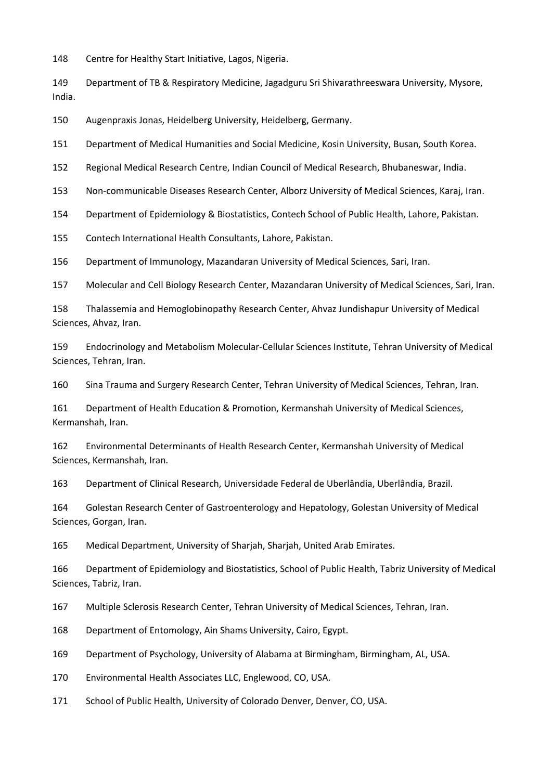Centre for Healthy Start Initiative, Lagos, Nigeria.

 Department of TB & Respiratory Medicine, Jagadguru Sri Shivarathreeswara University, Mysore, India.

Augenpraxis Jonas, Heidelberg University, Heidelberg, Germany.

Department of Medical Humanities and Social Medicine, Kosin University, Busan, South Korea.

Regional Medical Research Centre, Indian Council of Medical Research, Bhubaneswar, India.

Non-communicable Diseases Research Center, Alborz University of Medical Sciences, Karaj, Iran.

Department of Epidemiology & Biostatistics, Contech School of Public Health, Lahore, Pakistan.

Contech International Health Consultants, Lahore, Pakistan.

Department of Immunology, Mazandaran University of Medical Sciences, Sari, Iran.

Molecular and Cell Biology Research Center, Mazandaran University of Medical Sciences, Sari, Iran.

 Thalassemia and Hemoglobinopathy Research Center, Ahvaz Jundishapur University of Medical Sciences, Ahvaz, Iran.

 Endocrinology and Metabolism Molecular-Cellular Sciences Institute, Tehran University of Medical Sciences, Tehran, Iran.

Sina Trauma and Surgery Research Center, Tehran University of Medical Sciences, Tehran, Iran.

 Department of Health Education & Promotion, Kermanshah University of Medical Sciences, Kermanshah, Iran.

 Environmental Determinants of Health Research Center, Kermanshah University of Medical Sciences, Kermanshah, Iran.

Department of Clinical Research, Universidade Federal de Uberlândia, Uberlândia, Brazil.

 Golestan Research Center of Gastroenterology and Hepatology, Golestan University of Medical Sciences, Gorgan, Iran.

Medical Department, University of Sharjah, Sharjah, United Arab Emirates.

 Department of Epidemiology and Biostatistics, School of Public Health, Tabriz University of Medical Sciences, Tabriz, Iran.

Multiple Sclerosis Research Center, Tehran University of Medical Sciences, Tehran, Iran.

Department of Entomology, Ain Shams University, Cairo, Egypt.

Department of Psychology, University of Alabama at Birmingham, Birmingham, AL, USA.

Environmental Health Associates LLC, Englewood, CO, USA.

School of Public Health, University of Colorado Denver, Denver, CO, USA.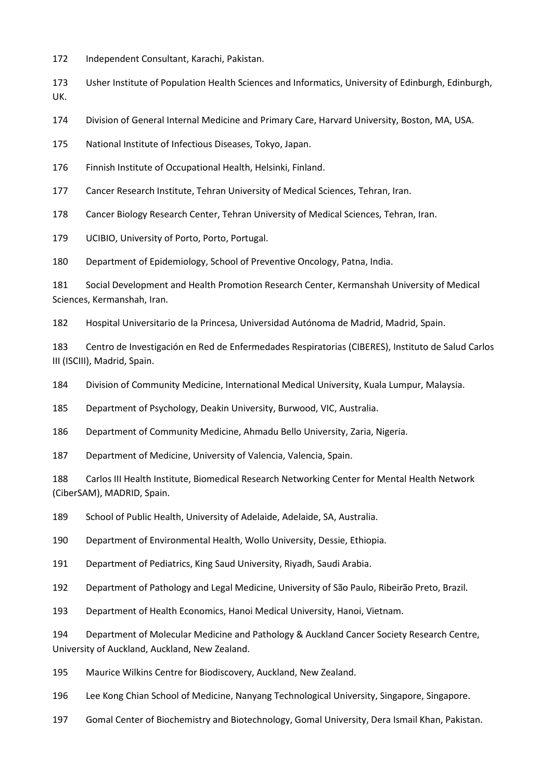Independent Consultant, Karachi, Pakistan.

 Usher Institute of Population Health Sciences and Informatics, University of Edinburgh, Edinburgh, UK.

Division of General Internal Medicine and Primary Care, Harvard University, Boston, MA, USA.

National Institute of Infectious Diseases, Tokyo, Japan.

Finnish Institute of Occupational Health, Helsinki, Finland.

Cancer Research Institute, Tehran University of Medical Sciences, Tehran, Iran.

Cancer Biology Research Center, Tehran University of Medical Sciences, Tehran, Iran.

UCIBIO, University of Porto, Porto, Portugal.

Department of Epidemiology, School of Preventive Oncology, Patna, India.

 Social Development and Health Promotion Research Center, Kermanshah University of Medical Sciences, Kermanshah, Iran.

Hospital Universitario de la Princesa, Universidad Autónoma de Madrid, Madrid, Spain.

 Centro de Investigación en Red de Enfermedades Respiratorias (CIBERES), Instituto de Salud Carlos III (ISCIII), Madrid, Spain.

Division of Community Medicine, International Medical University, Kuala Lumpur, Malaysia.

Department of Psychology, Deakin University, Burwood, VIC, Australia.

Department of Community Medicine, Ahmadu Bello University, Zaria, Nigeria.

Department of Medicine, University of Valencia, Valencia, Spain.

 Carlos III Health Institute, Biomedical Research Networking Center for Mental Health Network (CiberSAM), MADRID, Spain.

School of Public Health, University of Adelaide, Adelaide, SA, Australia.

Department of Environmental Health, Wollo University, Dessie, Ethiopia.

Department of Pediatrics, King Saud University, Riyadh, Saudi Arabia.

Department of Pathology and Legal Medicine, University of São Paulo, Ribeirão Preto, Brazil.

Department of Health Economics, Hanoi Medical University, Hanoi, Vietnam.

 Department of Molecular Medicine and Pathology & Auckland Cancer Society Research Centre, University of Auckland, Auckland, New Zealand.

Maurice Wilkins Centre for Biodiscovery, Auckland, New Zealand.

Lee Kong Chian School of Medicine, Nanyang Technological University, Singapore, Singapore.

Gomal Center of Biochemistry and Biotechnology, Gomal University, Dera Ismail Khan, Pakistan.